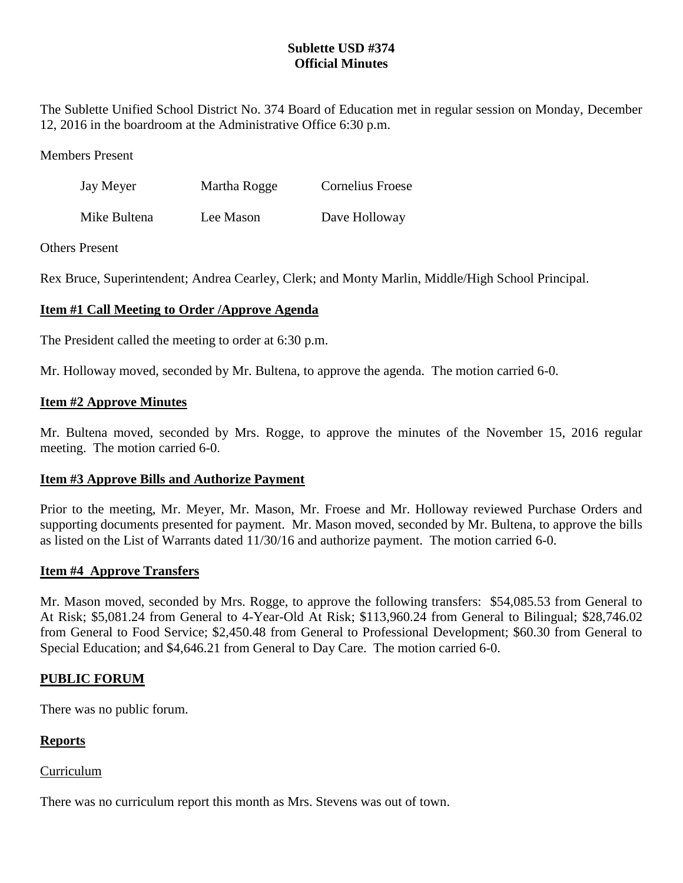# **Sublette USD #374 Official Minutes**

The Sublette Unified School District No. 374 Board of Education met in regular session on Monday, December 12, 2016 in the boardroom at the Administrative Office 6:30 p.m.

Members Present

| Jay Meyer    | Martha Rogge | <b>Cornelius Froese</b> |
|--------------|--------------|-------------------------|
| Mike Bultena | Lee Mason    | Dave Holloway           |

### Others Present

Rex Bruce, Superintendent; Andrea Cearley, Clerk; and Monty Marlin, Middle/High School Principal.

# **Item #1 Call Meeting to Order /Approve Agenda**

The President called the meeting to order at 6:30 p.m.

Mr. Holloway moved, seconded by Mr. Bultena, to approve the agenda. The motion carried 6-0.

### **Item #2 Approve Minutes**

Mr. Bultena moved, seconded by Mrs. Rogge, to approve the minutes of the November 15, 2016 regular meeting. The motion carried 6-0.

## **Item #3 Approve Bills and Authorize Payment**

Prior to the meeting, Mr. Meyer, Mr. Mason, Mr. Froese and Mr. Holloway reviewed Purchase Orders and supporting documents presented for payment. Mr. Mason moved, seconded by Mr. Bultena, to approve the bills as listed on the List of Warrants dated 11/30/16 and authorize payment. The motion carried 6-0.

## **Item #4 Approve Transfers**

Mr. Mason moved, seconded by Mrs. Rogge, to approve the following transfers: \$54,085.53 from General to At Risk; \$5,081.24 from General to 4-Year-Old At Risk; \$113,960.24 from General to Bilingual; \$28,746.02 from General to Food Service; \$2,450.48 from General to Professional Development; \$60.30 from General to Special Education; and \$4,646.21 from General to Day Care. The motion carried 6-0.

## **PUBLIC FORUM**

There was no public forum.

## **Reports**

#### Curriculum

There was no curriculum report this month as Mrs. Stevens was out of town.